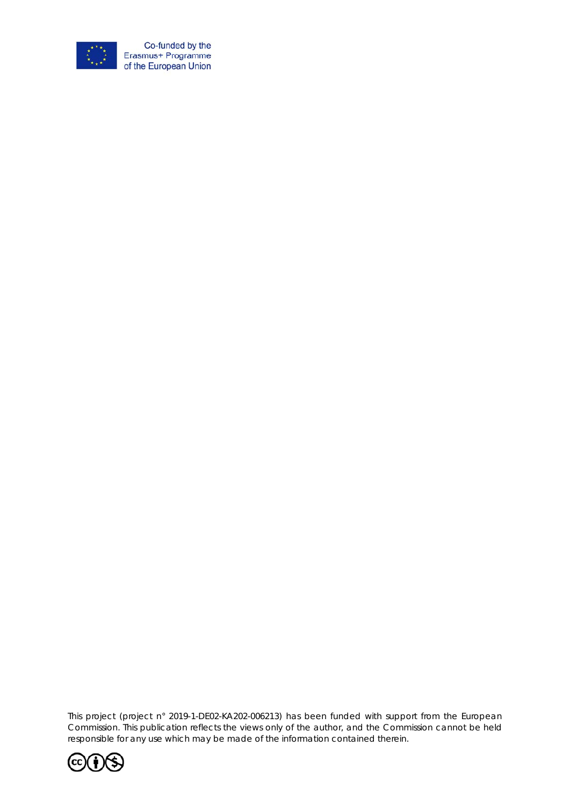

*This project (project n° 2019-1-DE02-KA202-006213) has been funded with support from the European Commission. This publication reflects the views only of the author, and the Commission cannot be held responsible for any use which may be made of the information contained therein.* 

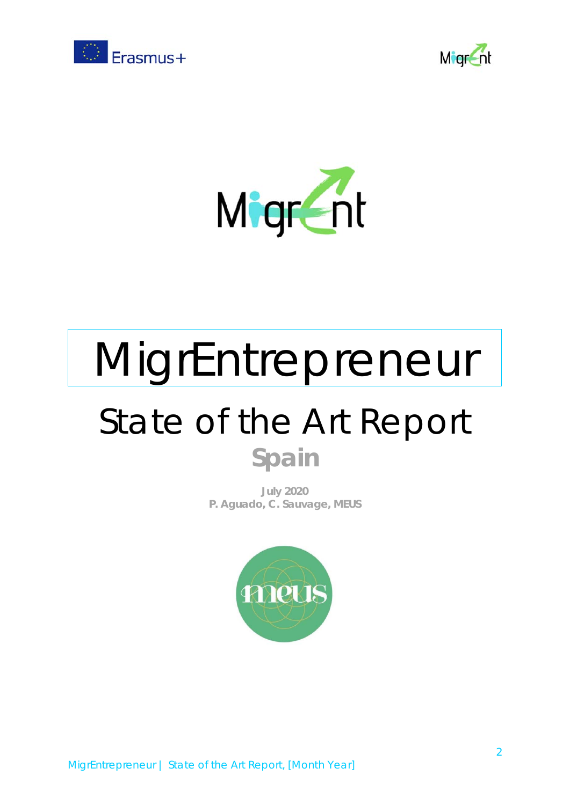





# MigrEntrepreneur

## State of the Art Report **Spain**

**July 2020 P. Aguado, C. Sauvage, MEUS**

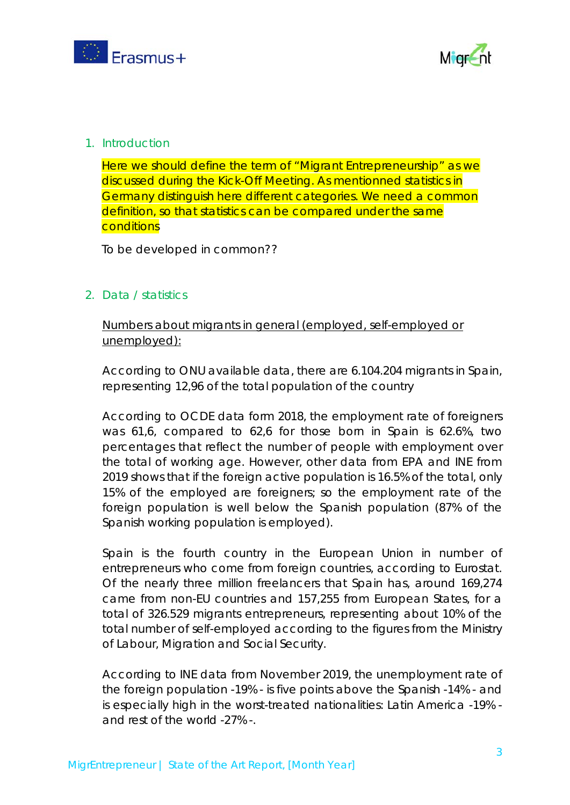



#### 1. Introduction

Here we should define the term of "Migrant Entrepreneurship" as we discussed during the Kick-Off Meeting. As mentionned statistics in Germany distinguish here different categories. We need a common definition, so that statistics can be compared under the same **conditions** 

To be developed in common??

#### 2. Data / statistics

Numbers about migrants in general (employed, self-employed or unemployed):

According to ONU available data, there are 6.104.204 migrants in Spain, representing 12,96 of the total population of the country

According to OCDE data form 2018, the employment rate of foreigners was 61,6, compared to 62,6 for those born in Spain is 62.6%, two percentages that reflect the number of people with employment over the total of working age. However, other data from EPA and INE from 2019 shows that if the foreign active population is 16.5% of the total, only 15% of the employed are foreigners; so the employment rate of the foreign population is well below the Spanish population (87% of the Spanish working population is employed).

Spain is the fourth country in the European Union in number of entrepreneurs who come from foreign countries, according to Eurostat. Of the nearly three million freelancers that Spain has, around 169,274 came from non-EU countries and 157,255 from European States, for a total of 326.529 migrants entrepreneurs, representing about 10% of the total number of self-employed according to the figures from the Ministry of Labour, Migration and Social Security.

According to INE data from November 2019, the unemployment rate of the foreign population -19% - is five points above the Spanish -14% - and is especially high in the worst-treated nationalities: Latin America -19% and rest of the world -27% -.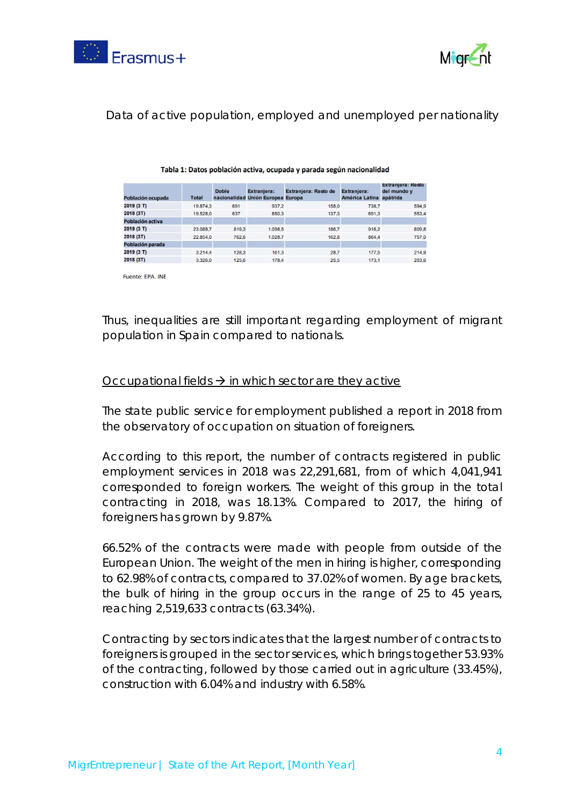



#### Data of active population, employed and unemployed per nationality

| Población ocupada | <b>Total</b> | <b>Doble</b> | Extranjera:<br>nacionalidad Unión Europea Europa | Extranjera: Resto de | Extraniera:<br>América Latina apátrida | Extranjera: Resto<br>del mundo y |
|-------------------|--------------|--------------|--------------------------------------------------|----------------------|----------------------------------------|----------------------------------|
| 2019 (3 T)        | 19,874.3     | 691          | 937.2                                            | 158.0                | 738.7                                  | 594.9                            |
| 2018 (3T)         | 19,528.0     | 637          | 850.3                                            | 137.3                | 691.3                                  | 553.4                            |
| Población activa  |              |              |                                                  |                      |                                        |                                  |
| 2019 (3 T)        | 23,088.7     | 819.3        | 1.098.5                                          | 186.7                | 916.2                                  | 809.8                            |
| 2018 (3T)         | 22,854.0     | 762.6        | 1.028.7                                          | 162.8                | 864.4                                  | 757.0                            |
| Población parada  |              |              |                                                  |                      |                                        |                                  |
| 2019 (3 T)        | 3.214.4      | 128.3        | 161.3                                            | 28.7                 | 177.5                                  | 214.9                            |
| 2018 (3T)         | 3.326.0      | 125.6        | 178.4                                            | 25.5                 | 173.1                                  | 203.6                            |

#### Tabla 1: Datos población activa, ocupada y parada según nacionalidad

Fuente: EPA. INE

Thus, inequalities are still important regarding employment of migrant population in Spain compared to nationals.

#### Occupational fields  $\rightarrow$  in which sector are they active

The state public service for employment published a report in 2018 from the observatory of occupation on situation of foreigners.

According to this report, the number of contracts registered in public employment services in 2018 was 22,291,681, from of which 4,041,941 corresponded to foreign workers. The weight of this group in the total contracting in 2018, was 18.13%. Compared to 2017, the hiring of foreigners has grown by 9.87%.

66.52% of the contracts were made with people from outside of the European Union. The weight of the men in hiring is higher, corresponding to 62.98% of contracts, compared to 37.02% of women. By age brackets, the bulk of hiring in the group occurs in the range of 25 to 45 years, reaching 2,519,633 contracts (63.34%).

Contracting by sectors indicates that the largest number of contracts to foreigners is grouped in the sector services, which brings together 53.93% of the contracting, followed by those carried out in agriculture (33.45%), construction with 6.04% and industry with 6.58%.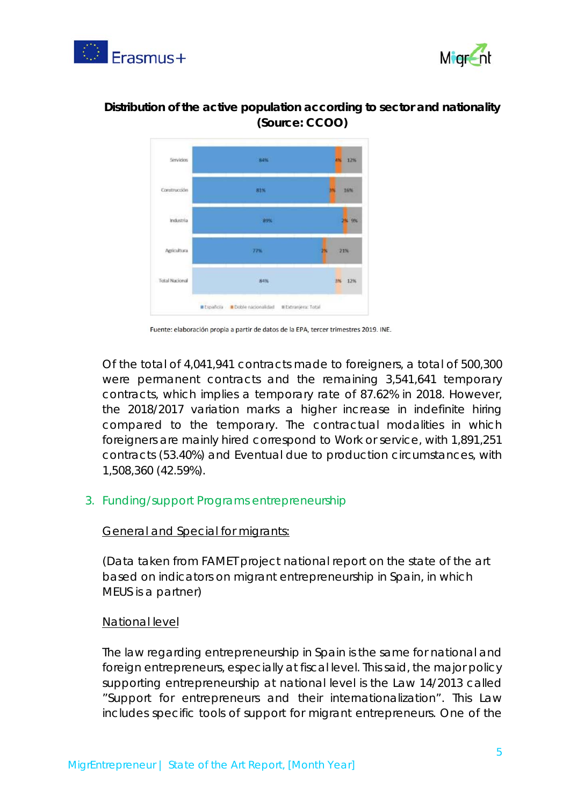



### **Distribution of the active population according to sector and nationality (Source: CCOO)**



Fuente: elaboración propia a partir de datos de la EPA, tercer trimestres 2019. INE.

Of the total of 4,041,941 contracts made to foreigners, a total of 500,300 were permanent contracts and the remaining 3,541,641 temporary contracts, which implies a temporary rate of 87.62% in 2018. However, the 2018/2017 variation marks a higher increase in indefinite hiring compared to the temporary. The contractual modalities in which foreigners are mainly hired correspond to Work or service, with 1,891,251 contracts (53.40%) and Eventual due to production circumstances, with 1,508,360 (42.59%).

#### 3. Funding/support Programs entrepreneurship

#### General and Special for migrants:

(Data taken from FAMET project national report on the state of the art based on indicators on migrant entrepreneurship in Spain, in which MEUS is a partner)

#### National level

The law regarding entrepreneurship in Spain is the same for national and foreign entrepreneurs, especially at fiscal level. This said, the major policy supporting entrepreneurship at national level is the Law 14/2013 called "Support for entrepreneurs and their internationalization". This Law includes specific tools of support for migrant entrepreneurs. One of the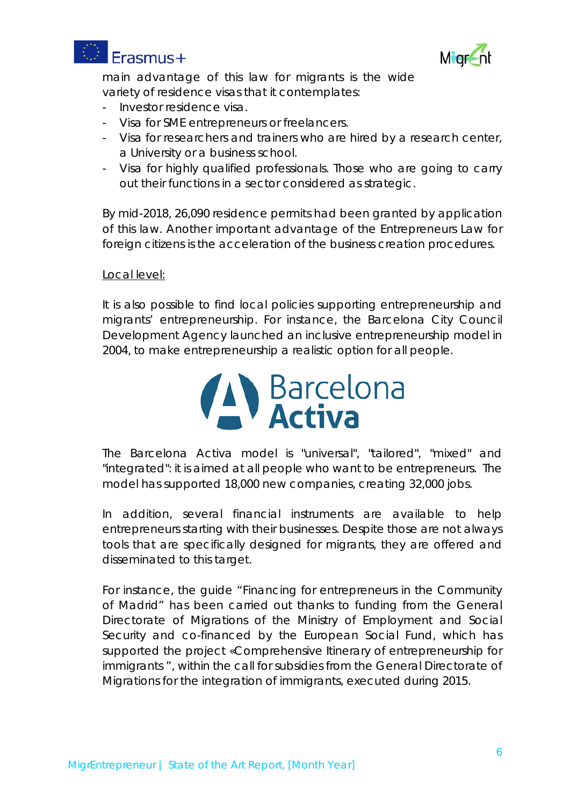



main advantage of this law for migrants is the wide variety of residence visas that it contemplates:

- Investor residence visa.
- Visa for SME entrepreneurs or freelancers.
- Visa for researchers and trainers who are hired by a research center, a University or a business school.
- Visa for highly qualified professionals. Those who are going to carry out their functions in a sector considered as strategic.

By mid-2018, 26,090 residence permits had been granted by application of this law. Another important advantage of the Entrepreneurs Law for foreign citizens is the acceleration of the business creation procedures.

#### Local level:

It is also possible to find local policies supporting entrepreneurship and migrants' entrepreneurship. For instance, the Barcelona City Council Development Agency launched an inclusive entrepreneurship model in 2004, to make entrepreneurship a realistic option for all people.



The Barcelona Activa model is "universal", "tailored", "mixed" and "integrated": it is aimed at all people who want to be entrepreneurs. The model has supported 18,000 new companies, creating 32,000 jobs.

In addition, several financial instruments are available to help entrepreneurs starting with their businesses. Despite those are not always tools that are specifically designed for migrants, they are offered and disseminated to this target.

For instance, the guide "Financing for entrepreneurs in the Community of Madrid" has been carried out thanks to funding from the General Directorate of Migrations of the Ministry of Employment and Social Security and co-financed by the European Social Fund, which has supported the project «Comprehensive Itinerary of entrepreneurship for immigrants ", within the call for subsidies from the General Directorate of Migrations for the integration of immigrants, executed during 2015.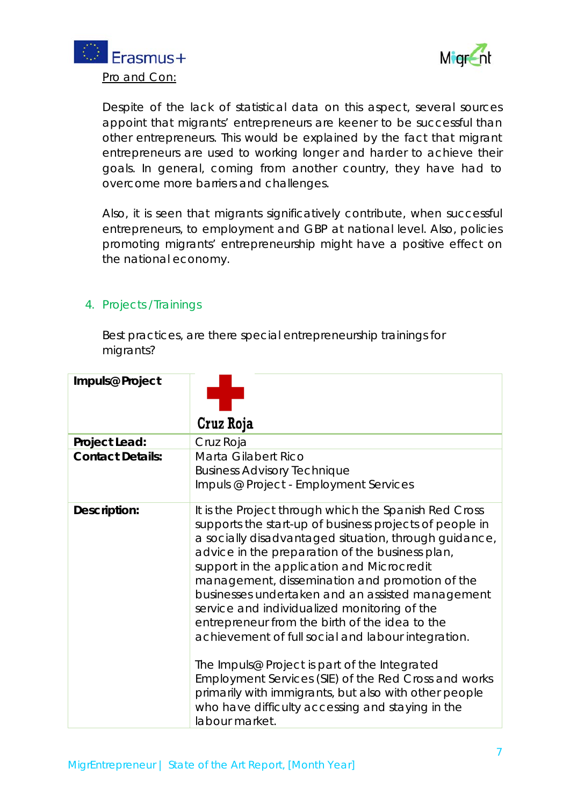



Despite of the lack of statistical data on this aspect, several sources appoint that migrants' entrepreneurs are keener to be successful than other entrepreneurs. This would be explained by the fact that migrant entrepreneurs are used to working longer and harder to achieve their goals. In general, coming from another country, they have had to overcome more barriers and challenges.

Also, it is seen that migrants significatively contribute, when successful entrepreneurs, to employment and GBP at national level. Also, policies promoting migrants' entrepreneurship might have a positive effect on the national economy.

### 4. Projects /Trainings

Best practices, are there special entrepreneurship trainings for migrants?

| Impuls@ Project         | Cruz Roja                                                                                                                                                                                                                                                                                                                                                                                                                                                                                                                                                                                                                                                                                                                                                                        |
|-------------------------|----------------------------------------------------------------------------------------------------------------------------------------------------------------------------------------------------------------------------------------------------------------------------------------------------------------------------------------------------------------------------------------------------------------------------------------------------------------------------------------------------------------------------------------------------------------------------------------------------------------------------------------------------------------------------------------------------------------------------------------------------------------------------------|
| Project Lead:           | Cruz Roja                                                                                                                                                                                                                                                                                                                                                                                                                                                                                                                                                                                                                                                                                                                                                                        |
| <b>Contact Details:</b> | Marta Gilabert Rico<br><b>Business Advisory Technique</b><br>Impuls @ Project - Employment Services                                                                                                                                                                                                                                                                                                                                                                                                                                                                                                                                                                                                                                                                              |
| Description:            | It is the Project through which the Spanish Red Cross<br>supports the start-up of business projects of people in<br>a socially disadvantaged situation, through guidance,<br>advice in the preparation of the business plan,<br>support in the application and Microcredit<br>management, dissemination and promotion of the<br>businesses undertaken and an assisted management<br>service and individualized monitoring of the<br>entrepreneur from the birth of the idea to the<br>achievement of full social and labour integration.<br>The Impuls@ Project is part of the Integrated<br>Employment Services (SIE) of the Red Cross and works<br>primarily with immigrants, but also with other people<br>who have difficulty accessing and staying in the<br>labour market. |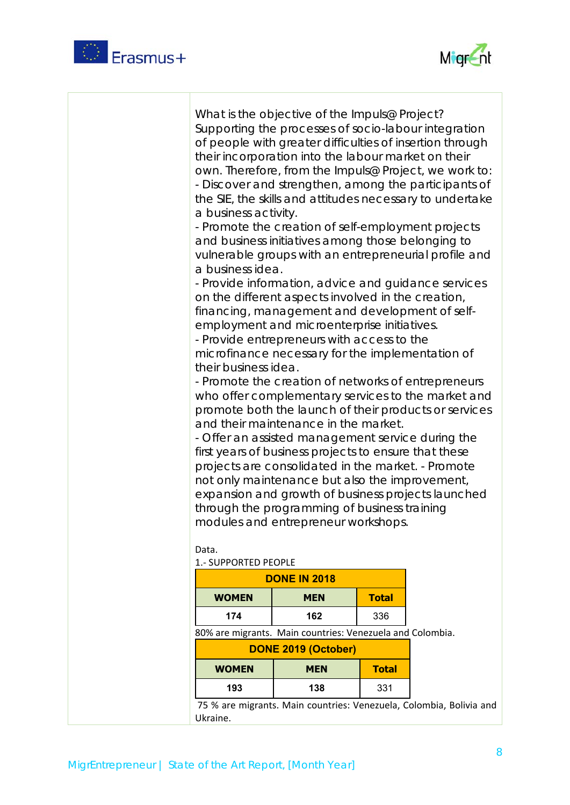



| a business activity.<br>a business idea.<br>their business idea.<br>Data.<br>1.- SUPPORTED PEOPLE | What is the objective of the Impuls@ Project?<br>Supporting the processes of socio-labour integration<br>of people with greater difficulties of insertion through<br>their incorporation into the labour market on their<br>own. Therefore, from the Impuls@ Project, we work to:<br>- Discover and strengthen, among the participants of<br>- Promote the creation of self-employment projects<br>and business initiatives among those belonging to<br>vulnerable groups with an entrepreneurial profile and<br>- Provide information, advice and guidance services<br>on the different aspects involved in the creation,<br>financing, management and development of self-<br>employment and microenterprise initiatives.<br>- Provide entrepreneurs with access to the<br>microfinance necessary for the implementation of<br>- Promote the creation of networks of entrepreneurs<br>who offer complementary services to the market and<br>promote both the launch of their products or services<br>and their maintenance in the market.<br>- Offer an assisted management service during the<br>first years of business projects to ensure that these<br>projects are consolidated in the market. - Promote<br>not only maintenance but also the improvement,<br>expansion and growth of business projects launched<br>through the programming of business training<br>modules and entrepreneur workshops. |              | the SIE, the skills and attitudes necessary to undertake |
|---------------------------------------------------------------------------------------------------|----------------------------------------------------------------------------------------------------------------------------------------------------------------------------------------------------------------------------------------------------------------------------------------------------------------------------------------------------------------------------------------------------------------------------------------------------------------------------------------------------------------------------------------------------------------------------------------------------------------------------------------------------------------------------------------------------------------------------------------------------------------------------------------------------------------------------------------------------------------------------------------------------------------------------------------------------------------------------------------------------------------------------------------------------------------------------------------------------------------------------------------------------------------------------------------------------------------------------------------------------------------------------------------------------------------------------------------------------------------------------------------------------------------|--------------|----------------------------------------------------------|
| <b>DONE IN 2018</b><br><b>Total</b><br><b>WOMEN</b><br><b>MEN</b>                                 |                                                                                                                                                                                                                                                                                                                                                                                                                                                                                                                                                                                                                                                                                                                                                                                                                                                                                                                                                                                                                                                                                                                                                                                                                                                                                                                                                                                                                |              |                                                          |
| 174                                                                                               | 162                                                                                                                                                                                                                                                                                                                                                                                                                                                                                                                                                                                                                                                                                                                                                                                                                                                                                                                                                                                                                                                                                                                                                                                                                                                                                                                                                                                                            | 336          |                                                          |
| 80% are migrants. Main countries: Venezuela and Colombia.                                         |                                                                                                                                                                                                                                                                                                                                                                                                                                                                                                                                                                                                                                                                                                                                                                                                                                                                                                                                                                                                                                                                                                                                                                                                                                                                                                                                                                                                                |              |                                                          |
| <b>DONE 2019 (October)</b>                                                                        |                                                                                                                                                                                                                                                                                                                                                                                                                                                                                                                                                                                                                                                                                                                                                                                                                                                                                                                                                                                                                                                                                                                                                                                                                                                                                                                                                                                                                |              |                                                          |
| <b>WOMEN</b>                                                                                      | <b>MEN</b>                                                                                                                                                                                                                                                                                                                                                                                                                                                                                                                                                                                                                                                                                                                                                                                                                                                                                                                                                                                                                                                                                                                                                                                                                                                                                                                                                                                                     | <b>Total</b> |                                                          |
| 193                                                                                               | 138                                                                                                                                                                                                                                                                                                                                                                                                                                                                                                                                                                                                                                                                                                                                                                                                                                                                                                                                                                                                                                                                                                                                                                                                                                                                                                                                                                                                            | 331          |                                                          |

 75 % are migrants. Main countries: Venezuela, Colombia, Bolivia and Ukraine.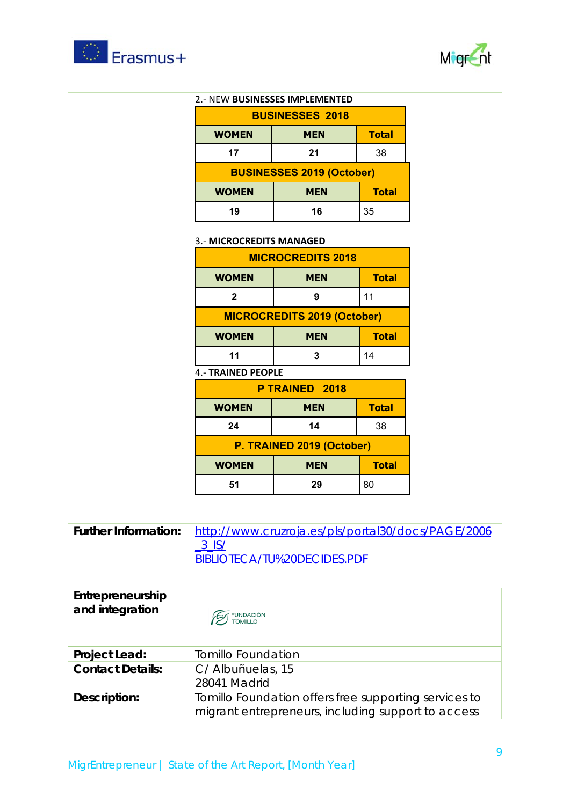



| <b>2.- NEW BUSINESSES IMPLEMENTED</b><br><b>BUSINESSES 2018</b> |            |              |
|-----------------------------------------------------------------|------------|--------------|
| <b>WOMEN</b>                                                    | <b>MEN</b> | <b>Total</b> |
| 17                                                              | 21         | 38           |
| <b>BUSINESSES 2019 (October)</b>                                |            |              |
| <b>WOMEN</b>                                                    | <b>MEN</b> | <b>Total</b> |
| 19                                                              | 16         | 35           |

#### 3.‐ **MICROCREDITS MANAGED**

| <b>MICROCREDITS 2018</b>                   |            |              |
|--------------------------------------------|------------|--------------|
| <b>WOMEN</b><br><b>Total</b><br><b>MEN</b> |            |              |
| 2                                          | 9          | 11           |
| <b>MICROCREDITS 2019 (October)</b>         |            |              |
| <b>WOMEN</b>                               | <b>MEN</b> | <b>Total</b> |
| 11                                         |            | 14           |

### 4.‐ **TRAINED PEOPLE**

| P TRAINED 2018                             |            |              |
|--------------------------------------------|------------|--------------|
| <b>Total</b><br><b>WOMEN</b><br><b>MEN</b> |            |              |
| 24                                         | 14         |              |
| P. TRAINED 2019 (October)                  |            |              |
| <b>WOMEN</b>                               | <b>MEN</b> | <b>Total</b> |
| 51                                         | 29         | 80           |

| Further Information:   http://www.cruzroja.es/pls/portal30/docs/PAGE/2006 |
|---------------------------------------------------------------------------|
| 3 IS/                                                                     |
| BIBLIOTECA/TU%20DECIDES.PDF                                               |

| Entrepreneurship<br>and integration | <b>EST</b> FUNDACIÓN                                                                                        |
|-------------------------------------|-------------------------------------------------------------------------------------------------------------|
| Project Lead:                       | <b>Tomillo Foundation</b>                                                                                   |
| <b>Contact Details:</b>             | C/ Albuñuelas, 15                                                                                           |
|                                     | 28041 Madrid                                                                                                |
| Description:                        | Tomillo Foundation offers free supporting services to<br>migrant entrepreneurs, including support to access |
|                                     |                                                                                                             |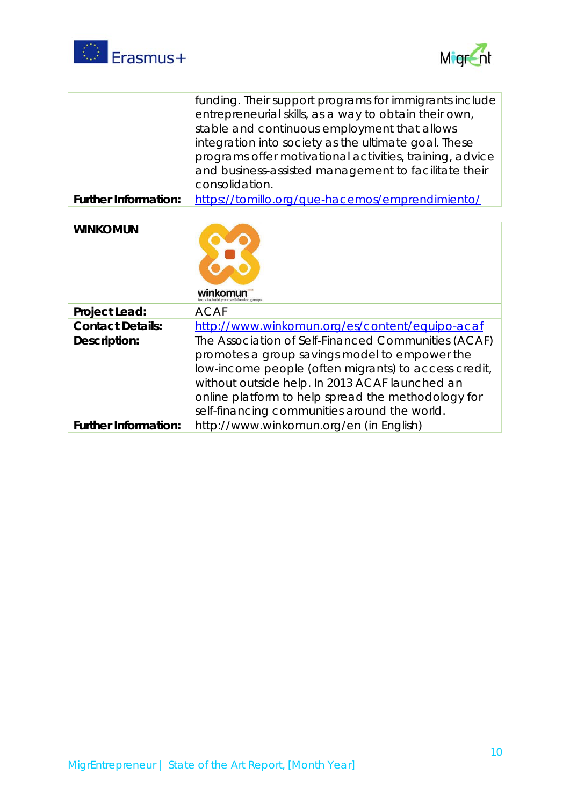



|                             | funding. Their support programs for immigrants include   |
|-----------------------------|----------------------------------------------------------|
|                             | entrepreneurial skills, as a way to obtain their own,    |
|                             | stable and continuous employment that allows             |
|                             | integration into society as the ultimate goal. These     |
|                             | programs offer motivational activities, training, advice |
|                             | and business-assisted management to facilitate their     |
|                             | consolidation.                                           |
| <b>Further Information:</b> | https://tomillo.org/que-hacemos/emprendimiento/          |

| <b>WINKOMUN</b>             | winkomun                                                                                                                                                                                                                                                                                                             |
|-----------------------------|----------------------------------------------------------------------------------------------------------------------------------------------------------------------------------------------------------------------------------------------------------------------------------------------------------------------|
| Project Lead:               | <b>ACAF</b>                                                                                                                                                                                                                                                                                                          |
| <b>Contact Details:</b>     | http://www.winkomun.org/es/content/equipo-acaf                                                                                                                                                                                                                                                                       |
| Description:                | The Association of Self-Financed Communities (ACAF)<br>promotes a group savings model to empower the<br>low-income people (often migrants) to access credit,<br>without outside help. In 2013 ACAF launched an<br>online platform to help spread the methodology for<br>self-financing communities around the world. |
| <b>Further Information:</b> | http://www.winkomun.org/en (in English)                                                                                                                                                                                                                                                                              |